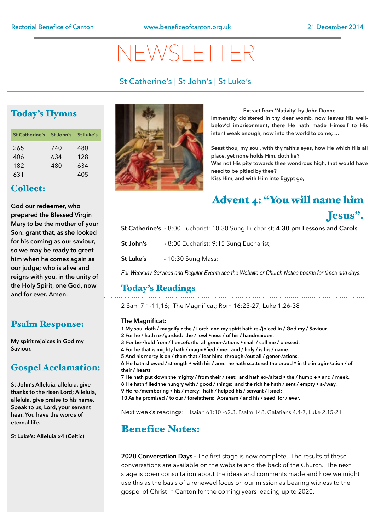# NEWSLETTER

### St Catherine's | St John's | St Luke's

### Today's Hymns

| St Catherine's St John's St Luke's |     |     |
|------------------------------------|-----|-----|
| 265                                | 740 | 480 |
| 406                                | 634 | 128 |
| 182                                | 480 | 634 |
| 631                                |     | 405 |

### Collect:

**God our redeemer, who prepared the Blessed Virgin Mary to be the mother of your Son: grant that, as she looked for his coming as our saviour, so we may be ready to greet him when he comes again as our judge; who is alive and reigns with you, in the unity of the Holy Spirit, one God, now and for ever. Amen.**

#### Psalm Response:

**My spirit rejoices in God my Saviour.** 

### Gospel Acclamation:

**St John's Alleluia, alleluia, give thanks to the risen Lord; Alleluia, alleluia, give praise to his name. Speak to us, Lord, your servant hear. You have the words of eternal life.** 

**St Luke's: Alleluia x4 (Celtic)**



#### **Extract from 'Nativity' by John Donne**

**Immensity cloistered in thy dear womb, now leaves His wellbelov'd imprisonment, there He hath made Himself to His intent weak enough, now into the world to come; …** 

**Seest thou, my soul, with thy faith's eyes, how He which fills all place, yet none holds Him, doth lie? Was not His pity towards thee wondrous high, that would have need to be pitied by thee? Kiss Him, and with Him into Egypt go,** 

### Advent 4: "You will name him



**St Catherine's -** 8:00 Eucharist; 10:30 Sung Eucharist; **4:30 pm Lessons and Carols**

- **St John's** 8:00 Eucharist; 9:15 Sung Eucharist;
- **St Luke's** 10:30 Sung Mass;

*For Weekday Services and Regular Events see the Website or Church Notice boards for times and days.*

### Today's Readings

2 Sam 7:1-11,16; The Magnificat; Rom 16:25-27; Luke 1.26-38

#### **The Magnificat:**

**1 My soul doth / magnify • the / Lord: and my spirit hath re-/joiced in / God my / Saviour. 2 For he / hath re-/garded: the / lowli•ness / of his / handmaiden. 3 For be-/hold from / henceforth: all gener-/ations • shall / call me / blessed. 4 For he that is mighty hath / magni•fied / me: and / holy / is his / name. 5 And his mercy is on / them that / fear him: through-/out all / gener-/ations. 6 He hath showed / strength • with his / arm: he hath scattered the proud \* in the imagin-/ation / of their / hearts 7 He hath put down the mighty / from their / seat: and hath ex-/alted • the / humble • and / meek. 8 He hath filled the hungry with / good / things: and the rich he hath / sent / empty • a-/way. 9 He re-/membering • his / mercy: hath / helped his / servant / Israel; 10 As he promised / to our / forefathers: Abraham / and his / seed, for / ever.** Next week's readings: Isaiah 61:10 -62.3, Psalm 148, Galatians 4.4-7, Luke 2.15-21

### Benefice Notes:

**2020 Conversation Days -** The first stage is now complete. The results of these conversations are available on the website and the back of the Church. The next stage is open consultation about the ideas and comments made and how we might use this as the basis of a renewed focus on our mission as bearing witness to the gospel of Christ in Canton for the coming years leading up to 2020.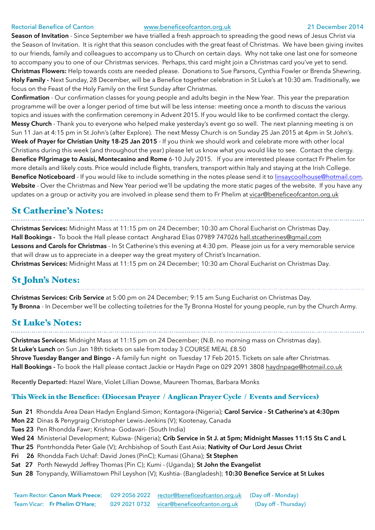#### Rectorial Benefice of Canton [www.beneficeofcanton.org.uk](http://www.beneficeofcanton.org.uk) 21 December 2014

**Season of Invitation** - Since September we have trialled a fresh approach to spreading the good news of Jesus Christ via the Season of Invitation. It is right that this season concludes with the great feast of Christmas. We have been giving invites to our friends, family and colleagues to accompany us to Church on certain days. Why not take one last one for someone to accompany you to one of our Christmas services. Perhaps, this card might join a Christmas card you've yet to send. **Christmas Flowers:** Help towards costs are needed please. Donations to Sue Parsons, Cynthia Fowler or Brenda Shewring. **Holy Family -** Next Sunday, 28 December, will be a Benefice together celebration in St Luke's at 10:30 am. Traditionally, we focus on the Feast of the Holy Family on the first Sunday after Christmas.

**Confirmation** - Our confirmation classes for young people and adults begin in the New Year. This year the preparation programme will be over a longer period of time but will be less intense: meeting once a month to discuss the various topics and issues with the confirmation ceremony in Advent 2015. If you would like to be confirmed contact the clergy. **Messy Church** - Thank you to everyone who helped make yesterday's event go so well. The next planning meeting is on Sun 11 Jan at 4:15 pm in St John's (after Explore). The next Messy Church is on Sunday 25 Jan 2015 at 4pm in St John's. **Week of Prayer for Christian Unity 18-25 Jan 2015** - If you think we should work and celebrate more with other local Christians during this week (and throughout the year) please let us know what you would like to see. Contact the clergy. **Benefice Pilgrimage to Assisi, Montecasino and Rome** 6-10 July 2015. If you are interested please contact Fr Phelim for more details and likely costs. Price would include flights, transfers, transport within Italy and staying at the Irish College. **Benefice Noticeboard** - If you would like to include something in the notes please send it to [linsaycoolhouse@hotmail.com](mailto:linsaycoolhouse@hotmail.com). **Website** - Over the Christmas and New Year period we'll be updating the more static pages of the website. If you have any updates on a group or activity you are involved in please send them to Fr Phelim at [vicar@beneficeofcanton.org.uk](mailto:vicar@beneficeofcanton.org.uk)

# St Catherine's Notes:

**Christmas Services:** Midnight Mass at 11:15 pm on 24 December; 10:30 am Choral Eucharist on Christmas Day. Hall Bookings - To book the Hall please contact Angharad Elias 07989 747026 [hall.stcatherines@gmail.com](mailto:hall.stcatherines@gmail.com) **Lessons and Carols for Christmas** - In St Catherine's this evening at 4:30 pm. Please join us for a very memorable service that will draw us to appreciate in a deeper way the great mystery of Christ's Incarnation. **Christmas Services:** Midnight Mass at 11:15 pm on 24 December; 10:30 am Choral Eucharist on Christmas Day.

## St John's Notes:

**Christmas Services: Crib Service** at 5:00 pm on 24 December; 9:15 am Sung Eucharist on Christmas Day. **Ty Bronna** - In December we'll be collecting toiletries for the Ty Bronna Hostel for young people, run by the Church Army.

### St Luke's Notes:

**Christmas Services:** Midnight Mass at 11:15 pm on 24 December; (N.B. no morning mass on Christmas day). **St Luke's Lunch** on Sun Jan 18th tickets on sale from today 3 COURSE MEAL £8.50 **Shrove Tuesday Banger and Bingo -** A family fun night on Tuesday 17 Feb 2015. Tickets on sale after Christmas. Hall Bookings - To book the Hall please contact Jackie or Haydn Page on 029 2091 3808 [haydnpage@hotmail.co.uk](mailto:haydnpage@hotmail.co.uk)

**Recently Departed:** Hazel Ware, Violet Lillian Dowse, Maureen Thomas, Barbara Monks

#### This Week in the Benefice: (Diocesan Prayer / Anglican Prayer Cycle / Events and Services)

- **Sun 21** Rhondda Area Dean Hadyn England-Simon; Kontagora-(Nigeria); **Carol Service St Catherine's at 4:30pm**
- **Mon 22** Dinas & Penygraig Christopher Lewis-Jenkins (V); Kootenay, Canada
- **Tues 23** Pen Rhondda Fawr; Krishna- Godavari- (South India)
- **Wed 24** Ministerial Development; Kubwa- (Nigeria); **Crib Service in St J. at 5pm; Midnight Masses 11:15 Sts C and L**
- **Thur 25** Pontrhondda Peter Gale (V); Archbishop of South East Asia; **Nativity of Our Lord Jesus Christ**
- **Fri 26** Rhondda Fach Uchaf: David Jones (PinC); Kumasi (Ghana); **St Stephen**
- **Sat 27** Porth Newydd Jeffrey Thomas (Pin C); Kumi (Uganda); **St John the Evangelist**
- **Sun 28** Tonypandy, Williamstown Phil Leyshon (V); Kushtia- (Bangladesh); **10:30 Benefice Service at St Lukes**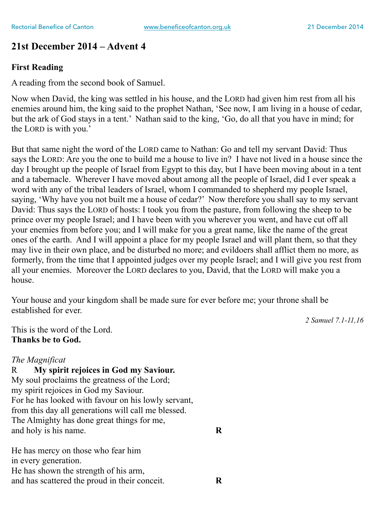### **21st December 2014 – Advent 4**

#### **First Reading**

A reading from the second book of Samuel.

Now when David, the king was settled in his house, and the LORD had given him rest from all his enemies around him, the king said to the prophet Nathan, 'See now, I am living in a house of cedar, but the ark of God stays in a tent.' Nathan said to the king, 'Go, do all that you have in mind; for the LORD is with you.'

But that same night the word of the LORD came to Nathan: Go and tell my servant David: Thus says the LORD: Are you the one to build me a house to live in? I have not lived in a house since the day I brought up the people of Israel from Egypt to this day, but I have been moving about in a tent and a tabernacle. Wherever I have moved about among all the people of Israel, did I ever speak a word with any of the tribal leaders of Israel, whom I commanded to shepherd my people Israel, saying, 'Why have you not built me a house of cedar?' Now therefore you shall say to my servant David: Thus says the LORD of hosts: I took you from the pasture, from following the sheep to be prince over my people Israel; and I have been with you wherever you went, and have cut off all your enemies from before you; and I will make for you a great name, like the name of the great ones of the earth. And I will appoint a place for my people Israel and will plant them, so that they may live in their own place, and be disturbed no more; and evildoers shall afflict them no more, as formerly, from the time that I appointed judges over my people Israel; and I will give you rest from all your enemies. Moreover the LORD declares to you, David, that the LORD will make you a house.

Your house and your kingdom shall be made sure for ever before me; your throne shall be established for ever.

*2 Samuel 7.1-11,16*

This is the word of the Lord. **Thanks be to God.**

#### *The Magnificat*

R **My spirit rejoices in God my Saviour.** My soul proclaims the greatness of the Lord; my spirit rejoices in God my Saviour. For he has looked with favour on his lowly servant, from this day all generations will call me blessed. The Almighty has done great things for me, and holy is his name. **R**

He has mercy on those who fear him in every generation. He has shown the strength of his arm, and has scattered the proud in their conceit. **R**